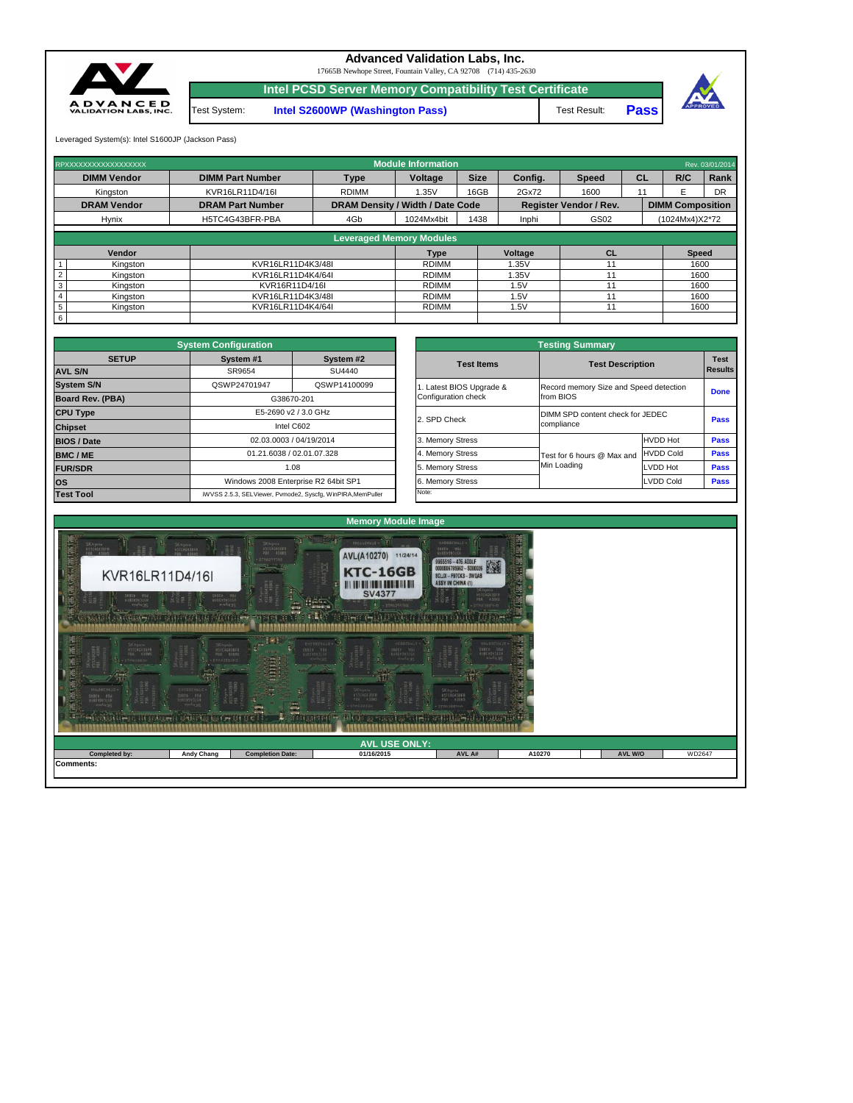| 20단의 씨소 내<br>HELFISCOPE<br>糕<br><b>ZKHYME</b><br>30 <sup>2</sup><br><b>STATE</b> | セロコロコロウ州<br>HARRABAJIEN<br><b><i><u>RILLING</u></i></b><br>o nonconco a cocopocoposo | <b>Diese</b><br>تنسد<br>$-10\%$ G $-5.77$ (2.5 $-5.7$ )<br>i e e | H5TC4G43BFR<br><b>All Calg GG 23 DEAR LOW ??</b><br><b>CANAD</b><br>1199422 | <b>MSTC4G43BFR</b><br>PBA 438HS<br><b>ANTHASBERHA</b> |        |                |        |  |  |  |  |
|----------------------------------------------------------------------------------|--------------------------------------------------------------------------------------|------------------------------------------------------------------|-----------------------------------------------------------------------------|-------------------------------------------------------|--------|----------------|--------|--|--|--|--|
|                                                                                  | <b>AVL USE ONLY:</b>                                                                 |                                                                  |                                                                             |                                                       |        |                |        |  |  |  |  |
| Completed by:                                                                    | <b>Andy Chang</b>                                                                    | <b>Completion Date:</b>                                          | 01/16/2015                                                                  | AVL A#                                                | A10270 | <b>AVL W/O</b> | WD2647 |  |  |  |  |
| Comments:                                                                        |                                                                                      |                                                                  |                                                                             |                                                       |        |                |        |  |  |  |  |

## **Memory Module Image**



|                         | <b>System Configuration</b> |                                                             |                       | <b>Testing Summary</b>                                         |                                        |             |  |
|-------------------------|-----------------------------|-------------------------------------------------------------|-----------------------|----------------------------------------------------------------|----------------------------------------|-------------|--|
| <b>SETUP</b>            | System #1                   | System #2                                                   | <b>Test Items</b>     |                                                                |                                        | <b>Test</b> |  |
| <b>AVL S/N</b>          | SR9654                      | SU4440                                                      |                       |                                                                | <b>Test Description</b>                |             |  |
| <b>System S/N</b>       | QSWP24701947                | QSWP14100099                                                | Latest BIOS Upgrade & |                                                                | Record memory Size and Speed detection |             |  |
| <b>Board Rev. (PBA)</b> |                             | G38670-201                                                  | Configuration check   | from BIOS                                                      |                                        | <b>Done</b> |  |
| <b>CPU Type</b>         |                             | E5-2690 v2 / 3.0 GHz                                        |                       | DIMM SPD content check for JEDEC<br>2. SPD Check<br>compliance |                                        |             |  |
| <b>Chipset</b>          |                             | Intel C602                                                  |                       |                                                                |                                        | <b>Pass</b> |  |
| <b>BIOS / Date</b>      |                             | 02.03.0003 / 04/19/2014                                     | 3. Memory Stress      |                                                                | <b>HVDD Hot</b>                        | <b>Pass</b> |  |
| <b>BMC/ME</b>           |                             | 01.21.6038 / 02.01.07.328                                   | 4. Memory Stress      | Test for 6 hours @ Max and                                     | <b>HVDD Cold</b>                       | <b>Pass</b> |  |
| <b>FUR/SDR</b>          |                             | 1.08                                                        | 5. Memory Stress      | Min Loading                                                    | <b>LVDD Hot</b>                        | <b>Pass</b> |  |
| <b>OS</b>               |                             | Windows 2008 Enterprise R2 64bit SP1                        | 6. Memory Stress      |                                                                | <b>LVDD Cold</b>                       | <b>Pass</b> |  |
| <b>Test Tool</b>        |                             | iWVSS 2.5.3, SELViewer, Pvmode2, Syscfg, WinPIRA, MemPuller | Note:                 |                                                                |                                        |             |  |

|              | <b>System Configuration</b>        |                                                             |                       | <b>Testing Summary</b>                 |                         |             |  |  |
|--------------|------------------------------------|-------------------------------------------------------------|-----------------------|----------------------------------------|-------------------------|-------------|--|--|
| <b>SETUP</b> | System #1                          | System #2                                                   | <b>Test Items</b>     |                                        |                         | <b>Test</b> |  |  |
|              | SR9654                             | SU4440                                                      |                       |                                        | <b>Test Description</b> |             |  |  |
|              | QSWP24701947                       | QSWP14100099                                                | Latest BIOS Upgrade & | Record memory Size and Speed detection |                         |             |  |  |
| <b>BA)</b>   | G38670-201<br>E5-2690 v2 / 3.0 GHz |                                                             | Configuration check   | from BIOS                              |                         |             |  |  |
|              |                                    |                                                             |                       | DIMM SPD content check for JEDEC       |                         |             |  |  |
|              |                                    | Intel C602                                                  | 2. SPD Check          | compliance                             |                         | <b>Pass</b> |  |  |
|              |                                    | 02.03.0003 / 04/19/2014                                     | 3. Memory Stress      |                                        | <b>HVDD Hot</b>         | <b>Pass</b> |  |  |
|              |                                    | 01.21.6038 / 02.01.07.328                                   | 4. Memory Stress      | Test for 6 hours @ Max and             | <b>HVDD Cold</b>        | <b>Pass</b> |  |  |
|              | 1.08                               |                                                             | 5. Memory Stress      | Min Loading                            | LVDD Hot                | <b>Pass</b> |  |  |
|              |                                    | Windows 2008 Enterprise R2 64bit SP1                        | 6. Memory Stress      |                                        | <b>LVDD Cold</b>        | <b>Pass</b> |  |  |
|              |                                    | iWVSS 2.5.3, SELViewer, Pvmode2, Syscfg, WinPIRA, MemPuller | Note:                 |                                        |                         |             |  |  |

|                 | <b>Leveraged Memory Modules</b> |                   |              |         |  |              |  |  |  |  |  |
|-----------------|---------------------------------|-------------------|--------------|---------|--|--------------|--|--|--|--|--|
|                 | Vendor                          |                   | Type         | Voltage |  | <b>Speed</b> |  |  |  |  |  |
|                 | Kingston                        | KVR16LR11D4K3/48I | <b>RDIMM</b> | 1.35V   |  | 1600         |  |  |  |  |  |
|                 | Kingston                        | KVR16LR11D4K4/64I | <b>RDIMM</b> | 1.35V   |  | 1600         |  |  |  |  |  |
|                 | Kingston                        | KVR16R11D4/16I    | <b>RDIMM</b> | .5V     |  | 1600         |  |  |  |  |  |
|                 | Kingston                        | KVR16LR11D4K3/48I | <b>RDIMM</b> | 5V      |  | 1600         |  |  |  |  |  |
| $5\overline{5}$ | Kingston                        | KVR16LR11D4K4/64I | <b>RDIMM</b> | .5V     |  | 1600         |  |  |  |  |  |
| 6               |                                 |                   |              |         |  |              |  |  |  |  |  |

| RPXXXXXXXXXXXXXXXXX | <b>Module Information</b><br>Rev. 03/01/2014 |                                         |                                          |      |       |                               |           |                         |           |  |  |  |
|---------------------|----------------------------------------------|-----------------------------------------|------------------------------------------|------|-------|-------------------------------|-----------|-------------------------|-----------|--|--|--|
| <b>DIMM Vendor</b>  | <b>DIMM Part Number</b>                      | <b>Type</b>                             | <b>Size</b><br><b>Voltage</b><br>Config. |      |       | <b>Speed</b>                  | <b>CL</b> | R/C                     | Rank      |  |  |  |
| Kingston            | KVR16LR11D4/16I                              | <b>RDIMM</b>                            | .35V                                     | 16GB | 2Gx72 | 1600                          |           |                         | <b>DR</b> |  |  |  |
| <b>DRAM Vendor</b>  | <b>DRAM Part Number</b>                      | <b>DRAM Density / Width / Date Code</b> |                                          |      |       | <b>Register Vendor / Rev.</b> |           | <b>DIMM Composition</b> |           |  |  |  |
| <b>Hynix</b>        | H5TC4G43BFR-PBA                              | 4Gb                                     | 1024Mx4bit                               | 1438 | Inphi | GS02                          |           | (1024Mx4)X2*72          |           |  |  |  |
|                     |                                              | .                                       | .                                        |      |       |                               |           |                         |           |  |  |  |

17665B Newhope Street, Fountain Valley, CA 92708 (714) 435-2630

**Intel PCSD Server Memory Compatibility Test Certificate**

Test System: **Intel S2600WP (Washington Pass)** Test Result: Pass



Leveraged System(s): Intel S1600JP (Jackson Pass)



## **Advanced Validation Labs, Inc.**